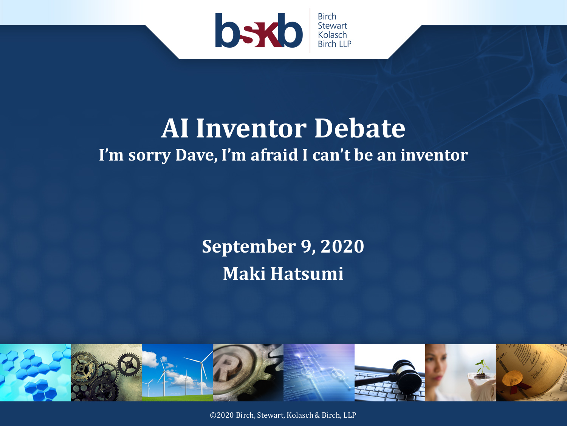

#### **AI Inventor Debate I'm sorry Dave, I'm afraid I can't be an inventor**

#### **September 9, 2020 Maki Hatsumi**



©2020 Birch, Stewart, Kolasch & Birch, LLP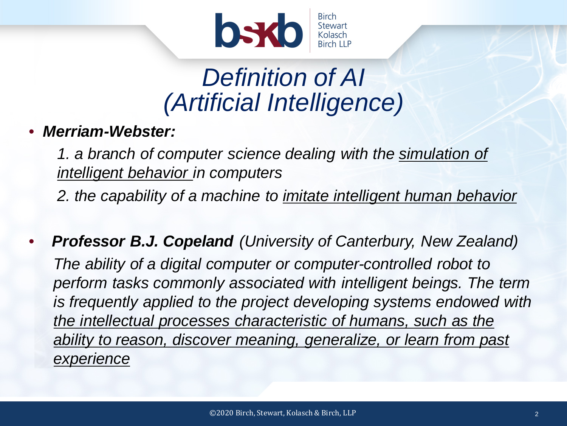

#### *Definition of AI (Artificial Intelligence)*

• *Merriam-Webster:*

1. a branch of computer science dealing with the simulation of *intelligent behavior in computers*

*2. the capability of a machine to imitate intelligent human behavior*

• *Professor B.J. Copeland (University of Canterbury, New Zealand) The ability of a digital computer or computer-controlled robot to perform tasks commonly associated with intelligent beings. The term is frequently applied to the project developing systems endowed with the intellectual processes characteristic of humans, such as the ability to reason, discover meaning, generalize, or learn from past experience*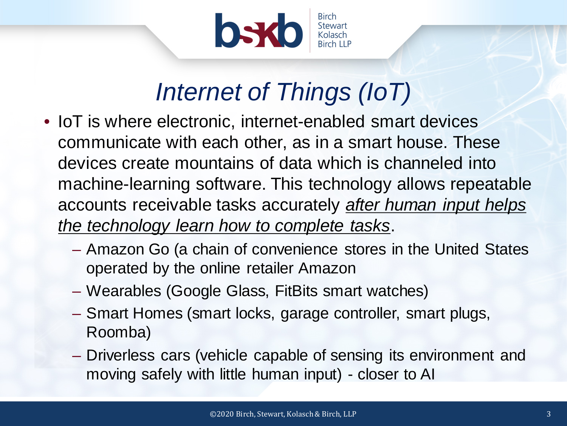

## *Internet of Things (IoT)*

- IoT is where electronic, internet-enabled smart devices communicate with each other, as in a smart house. These devices create mountains of data which is channeled into machine-learning software. This technology allows repeatable accounts receivable tasks accurately *after human input helps the technology learn how to complete tasks*.
	- Amazon Go (a chain of convenience stores in the United States operated by the online retailer Amazon
	- Wearables (Google Glass, FitBits smart watches)
	- Smart Homes (smart locks, garage controller, smart plugs, Roomba)
	- Driverless cars (vehicle capable of sensing its environment and moving safely with little human input) - closer to AI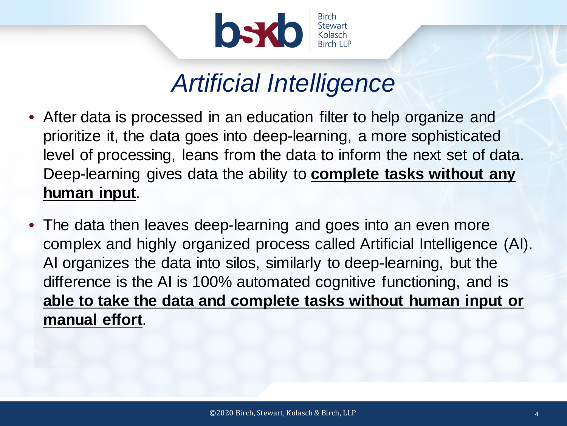

#### *Artificial Intelligence*

- After data is processed in an education filter to help organize and prioritize it, the data goes into deep-learning, a more sophisticated level of processing, leans from the data to inform the next set of data. Deep-learning gives data the ability to **complete tasks without any human input**.
- The data then leaves deep-learning and goes into an even more complex and highly organized process called Artificial Intelligence (AI). AI organizes the data into silos, similarly to deep-learning, but the difference is the AI is 100% automated cognitive functioning, and is **able to take the data and complete tasks without human input or manual effort**.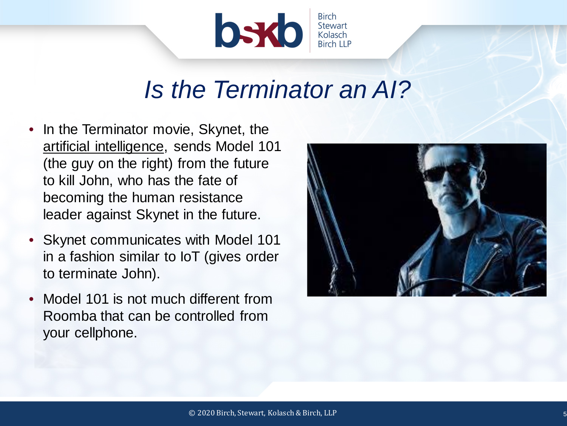

#### *Is the Terminator an AI?*

- In the Terminator movie, Skynet, the artificial intelligence, sends Model 101 (the guy on the right) from the future to kill John, who has the fate of becoming the human resistance leader against Skynet in the future.
- Skynet communicates with Model 101 in a fashion similar to IoT (gives order to terminate John).
- Model 101 is not much different from Roomba that can be controlled from your cellphone.

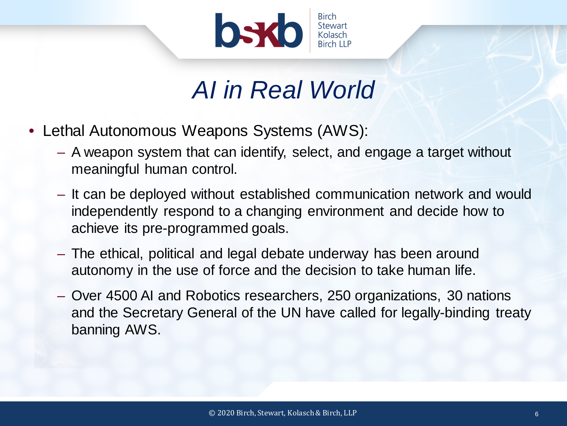

#### *AI in Real World*

- Lethal Autonomous Weapons Systems (AWS):
	- A weapon system that can identify, select, and engage a target without meaningful human control.
	- It can be deployed without established communication network and would independently respond to a changing environment and decide how to achieve its pre-programmed goals.
	- The ethical, political and legal debate underway has been around autonomy in the use of force and the decision to take human life.
	- Over 4500 AI and Robotics researchers, 250 organizations, 30 nations and the Secretary General of the UN have called for legally-binding treaty banning AWS.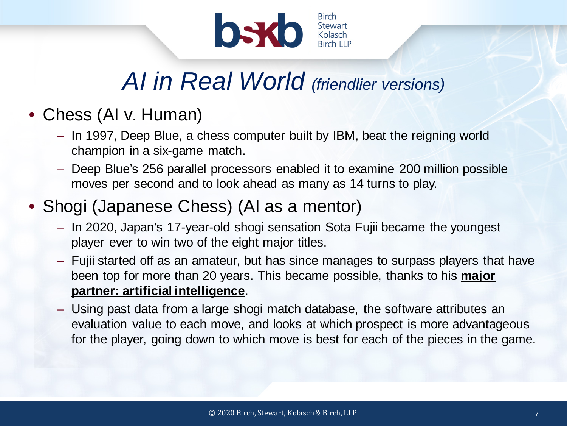

#### *AI in Real World (friendlier versions)*

#### • Chess (AI v. Human)

- In 1997, Deep Blue, a chess computer built by IBM, beat the reigning world champion in a six-game match.
- Deep Blue's 256 parallel processors enabled it to examine 200 million possible moves per second and to look ahead as many as 14 turns to play.

#### • Shogi (Japanese Chess) (AI as a mentor)

- In 2020, Japan's 17-year-old shogi sensation Sota Fujii became the youngest player ever to win two of the eight major titles.
- Fujii started off as an amateur, but has since manages to surpass players that have been top for more than 20 years. This became possible, thanks to his **major partner: artificial intelligence**.
- Using past data from a large shogi match database, the software attributes an evaluation value to each move, and looks at which prospect is more advantageous for the player, going down to which move is best for each of the pieces in the game.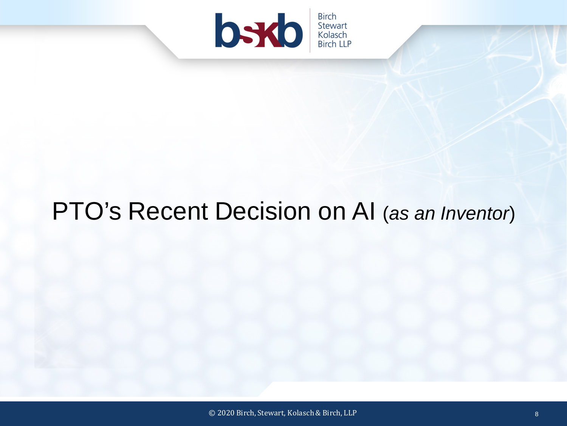

#### PTO's Recent Decision on AI (*as an Inventor*)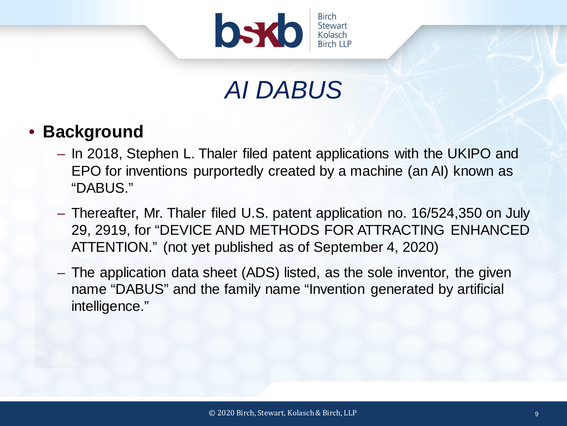

## *AI DABUS*

#### • **Background**

- In 2018, Stephen L. Thaler filed patent applications with the UKIPO and EPO for inventions purportedly created by a machine (an AI) known as "DABUS."
- Thereafter, Mr. Thaler filed U.S. patent application no. 16/524,350 on July 29, 2919, for "DEVICE AND METHODS FOR ATTRACTING ENHANCED ATTENTION." (not yet published as of September 4, 2020)
- The application data sheet (ADS) listed, as the sole inventor, the given name "DABUS" and the family name "Invention generated by artificial intelligence."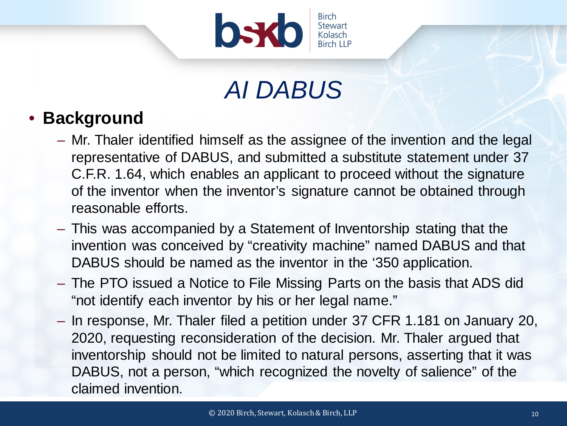

## *AI DABUS*

#### • **Background**

- Mr. Thaler identified himself as the assignee of the invention and the legal representative of DABUS, and submitted a substitute statement under 37 C.F.R. 1.64, which enables an applicant to proceed without the signature of the inventor when the inventor's signature cannot be obtained through reasonable efforts.
- This was accompanied by a Statement of Inventorship stating that the invention was conceived by "creativity machine" named DABUS and that DABUS should be named as the inventor in the '350 application.
- The PTO issued a Notice to File Missing Parts on the basis that ADS did "not identify each inventor by his or her legal name."
- In response, Mr. Thaler filed a petition under 37 CFR 1.181 on January 20, 2020, requesting reconsideration of the decision. Mr. Thaler argued that inventorship should not be limited to natural persons, asserting that it was DABUS, not a person, "which recognized the novelty of salience" of the claimed invention.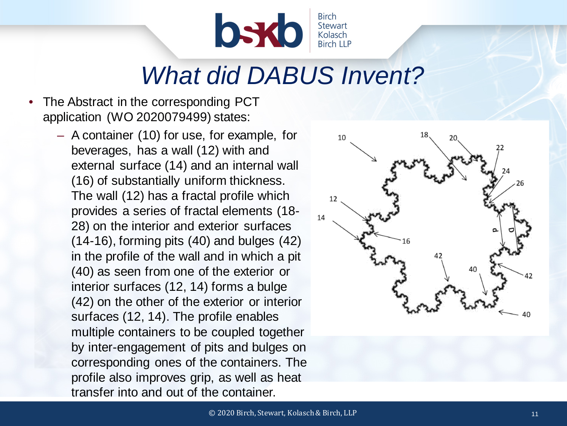

#### *What did DABUS Invent?*

- The Abstract in the corresponding PCT application (WO 2020079499) states:
	- A container (10) for use, for example, for beverages, has a wall (12) with and external surface (14) and an internal wall (16) of substantially uniform thickness. The wall (12) has a fractal profile which provides a series of fractal elements (18- 28) on the interior and exterior surfaces (14-16), forming pits (40) and bulges (42) in the profile of the wall and in which a pit (40) as seen from one of the exterior or interior surfaces (12, 14) forms a bulge (42) on the other of the exterior or interior surfaces (12, 14). The profile enables multiple containers to be coupled together by inter-engagement of pits and bulges on corresponding ones of the containers. The profile also improves grip, as well as heat transfer into and out of the container.

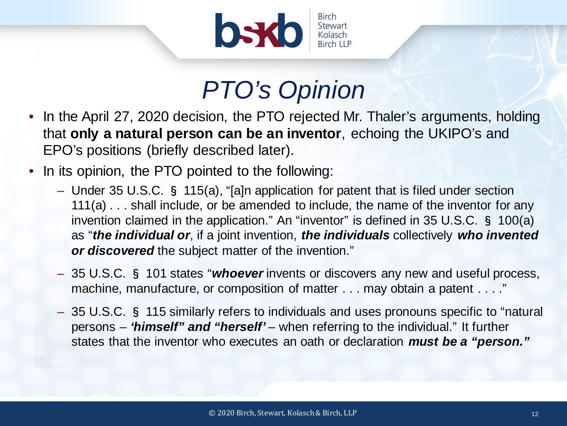

## *PTO's Opinion*

- In the April 27, 2020 decision, the PTO rejected Mr. Thaler's arguments, holding that **only a natural person can be an inventor**, echoing the UKIPO's and EPO's positions (briefly described later).
- In its opinion, the PTO pointed to the following:
	- Under 35 U.S.C. § 115(a), "[a]n application for patent that is filed under section 111(a) . . . shall include, or be amended to include, the name of the inventor for any invention claimed in the application." An "inventor" is defined in 35 U.S.C. § 100(a) as "*the individual or*, if a joint invention, *the individuals* collectively *who invented or discovered* the subject matter of the invention."
	- 35 U.S.C. § 101 states "*whoever* invents or discovers any new and useful process, machine, manufacture, or composition of matter . . . may obtain a patent . . . ."
	- 35 U.S.C. § 115 similarly refers to individuals and uses pronouns specific to "natural persons – *'himself" and "herself'* – when referring to the individual." It further states that the inventor who executes an oath or declaration *must be a "person."*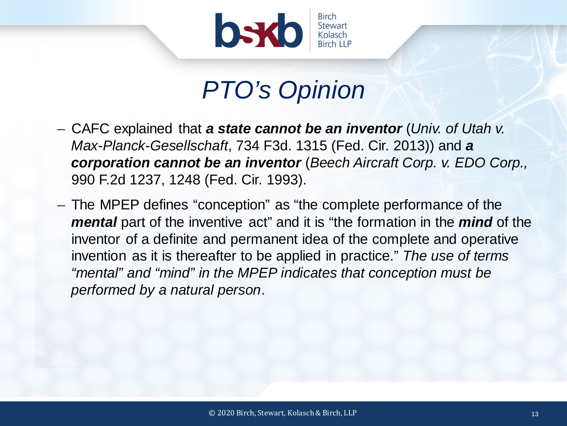

#### *PTO's Opinion*

- CAFC explained that *a state cannot be an inventor* (*Univ. of Utah v. Max-Planck-Gesellschaft*, 734 F3d. 1315 (Fed. Cir. 2013)) and *a corporation cannot be an inventor* (*Beech Aircraft Corp. v. EDO Corp.,*  990 F.2d 1237, 1248 (Fed. Cir. 1993).
- The MPEP defines "conception" as "the complete performance of the *mental* part of the inventive act" and it is "the formation in the *mind* of the inventor of a definite and permanent idea of the complete and operative invention as it is thereafter to be applied in practice." *The use of terms "mental" and "mind" in the MPEP indicates that conception must be performed by a natural person*.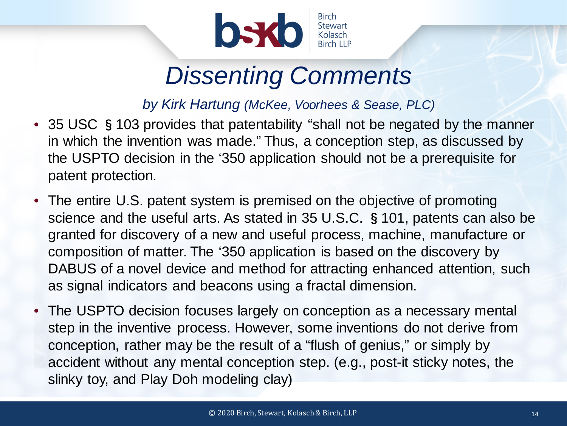

## *Dissenting Comments*

*by Kirk Hartung (McKee, Voorhees & Sease, PLC)*

- 35 USC §103 provides that patentability "shall not be negated by the manner in which the invention was made." Thus, a conception step, as discussed by the USPTO decision in the '350 application should not be a prerequisite for patent protection.
- The entire U.S. patent system is premised on the objective of promoting science and the useful arts. As stated in 35 U.S.C. §101, patents can also be granted for discovery of a new and useful process, machine, manufacture or composition of matter. The '350 application is based on the discovery by DABUS of a novel device and method for attracting enhanced attention, such as signal indicators and beacons using a fractal dimension.
- The USPTO decision focuses largely on conception as a necessary mental step in the inventive process. However, some inventions do not derive from conception, rather may be the result of a "flush of genius," or simply by accident without any mental conception step. (e.g., post-it sticky notes, the slinky toy, and Play Doh modeling clay)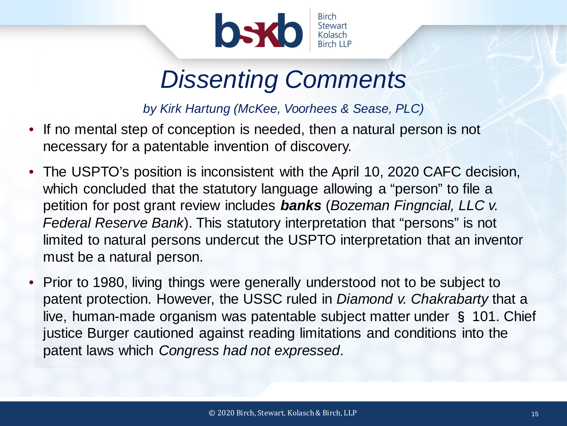

#### *Dissenting Comments*

*by Kirk Hartung (McKee, Voorhees & Sease, PLC)*

- If no mental step of conception is needed, then a natural person is not necessary for a patentable invention of discovery.
- The USPTO's position is inconsistent with the April 10, 2020 CAFC decision, which concluded that the statutory language allowing a "person" to file a petition for post grant review includes *banks* (*Bozeman Fingncial, LLC v. Federal Reserve Bank*). This statutory interpretation that "persons" is not limited to natural persons undercut the USPTO interpretation that an inventor must be a natural person.
- Prior to 1980, living things were generally understood not to be subject to patent protection. However, the USSC ruled in *Diamond v. Chakrabarty* that a live, human-made organism was patentable subject matter under § 101. Chief justice Burger cautioned against reading limitations and conditions into the patent laws which *Congress had not expressed*.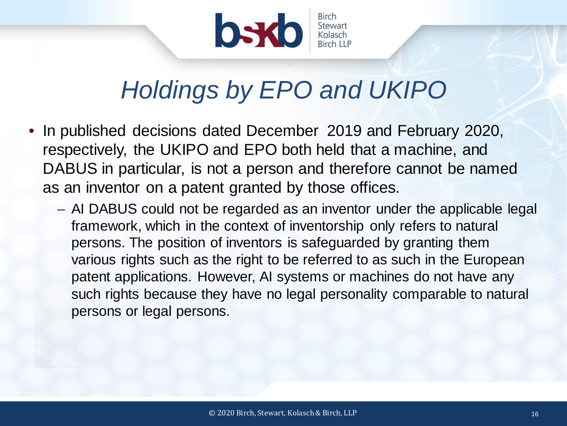

## *Holdings by EPO and UKIPO*

- In published decisions dated December 2019 and February 2020, respectively, the UKIPO and EPO both held that a machine, and DABUS in particular, is not a person and therefore cannot be named as an inventor on a patent granted by those offices.
	- AI DABUS could not be regarded as an inventor under the applicable legal framework, which in the context of inventorship only refers to natural persons. The position of inventors is safeguarded by granting them various rights such as the right to be referred to as such in the European patent applications. However, AI systems or machines do not have any such rights because they have no legal personality comparable to natural persons or legal persons.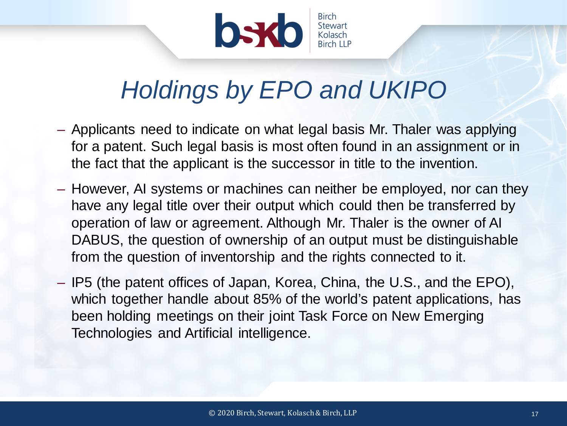

## *Holdings by EPO and UKIPO*

- Applicants need to indicate on what legal basis Mr. Thaler was applying for a patent. Such legal basis is most often found in an assignment or in the fact that the applicant is the successor in title to the invention.
- However, AI systems or machines can neither be employed, nor can they have any legal title over their output which could then be transferred by operation of law or agreement. Although Mr. Thaler is the owner of AI DABUS, the question of ownership of an output must be distinguishable from the question of inventorship and the rights connected to it.
- IP5 (the patent offices of Japan, Korea, China, the U.S., and the EPO), which together handle about 85% of the world's patent applications, has been holding meetings on their joint Task Force on New Emerging Technologies and Artificial intelligence.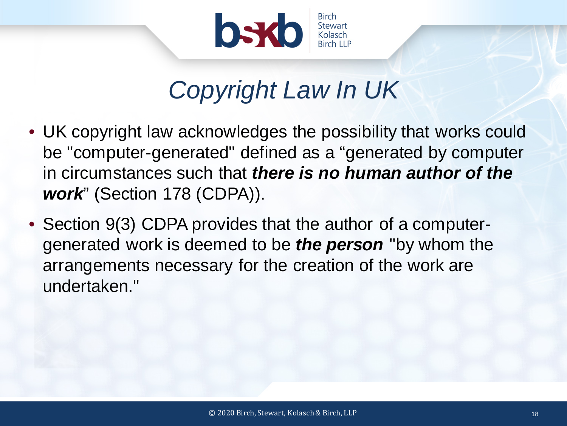

## *Copyright Law In UK*

- UK copyright law acknowledges the possibility that works could be "computer-generated" defined as a "generated by computer in circumstances such that *there is no human author of the work*" (Section 178 (CDPA)).
- Section 9(3) CDPA provides that the author of a computergenerated work is deemed to be *the person* "by whom the arrangements necessary for the creation of the work are undertaken."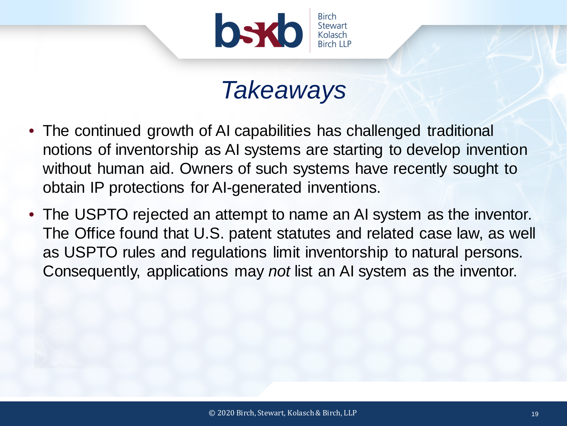

#### *Takeaways*

- The continued growth of AI capabilities has challenged traditional notions of inventorship as AI systems are starting to develop invention without human aid. Owners of such systems have recently sought to obtain IP protections for AI-generated inventions.
- The USPTO rejected an attempt to name an AI system as the inventor. The Office found that U.S. patent statutes and related case law, as well as USPTO rules and regulations limit inventorship to natural persons. Consequently, applications may *not* list an AI system as the inventor.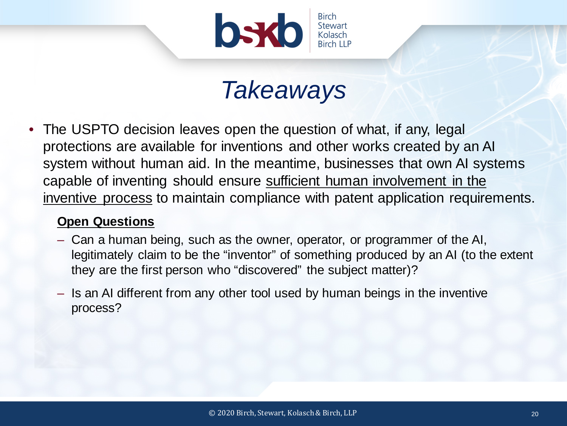

#### *Takeaways*

• The USPTO decision leaves open the question of what, if any, legal protections are available for inventions and other works created by an AI system without human aid. In the meantime, businesses that own AI systems capable of inventing should ensure sufficient human involvement in the inventive process to maintain compliance with patent application requirements.

#### **Open Questions**

- Can a human being, such as the owner, operator, or programmer of the AI, legitimately claim to be the "inventor" of something produced by an AI (to the extent they are the first person who "discovered" the subject matter)?
- Is an AI different from any other tool used by human beings in the inventive process?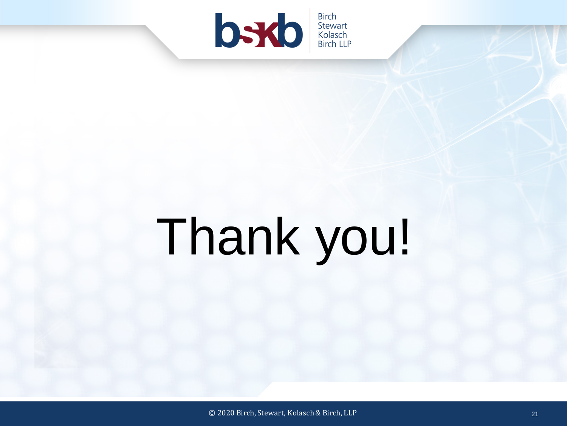

# Thank you!